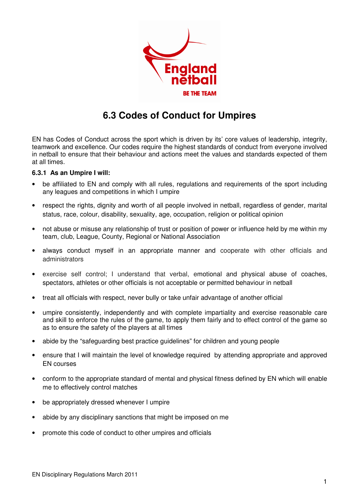

## **6.3 Codes of Conduct for Umpires**

EN has Codes of Conduct across the sport which is driven by its' core values of leadership, integrity, teamwork and excellence. Our codes require the highest standards of conduct from everyone involved in netball to ensure that their behaviour and actions meet the values and standards expected of them at all times.

## **6.3.1 As an Umpire I will:**

- be affiliated to EN and comply with all rules, regulations and requirements of the sport including any leagues and competitions in which I umpire
- respect the rights, dignity and worth of all people involved in netball, regardless of gender, marital status, race, colour, disability, sexuality, age, occupation, religion or political opinion
- not abuse or misuse any relationship of trust or position of power or influence held by me within my team, club, League, County, Regional or National Association
- always conduct myself in an appropriate manner and cooperate with other officials and administrators
- exercise self control; I understand that verbal, emotional and physical abuse of coaches, spectators, athletes or other officials is not acceptable or permitted behaviour in netball
- treat all officials with respect, never bully or take unfair advantage of another official
- umpire consistently, independently and with complete impartiality and exercise reasonable care and skill to enforce the rules of the game, to apply them fairly and to effect control of the game so as to ensure the safety of the players at all times
- abide by the "safeguarding best practice guidelines" for children and young people
- ensure that I will maintain the level of knowledge required by attending appropriate and approved EN courses
- conform to the appropriate standard of mental and physical fitness defined by EN which will enable me to effectively control matches
- be appropriately dressed whenever I umpire
- abide by any disciplinary sanctions that might be imposed on me
- promote this code of conduct to other umpires and officials